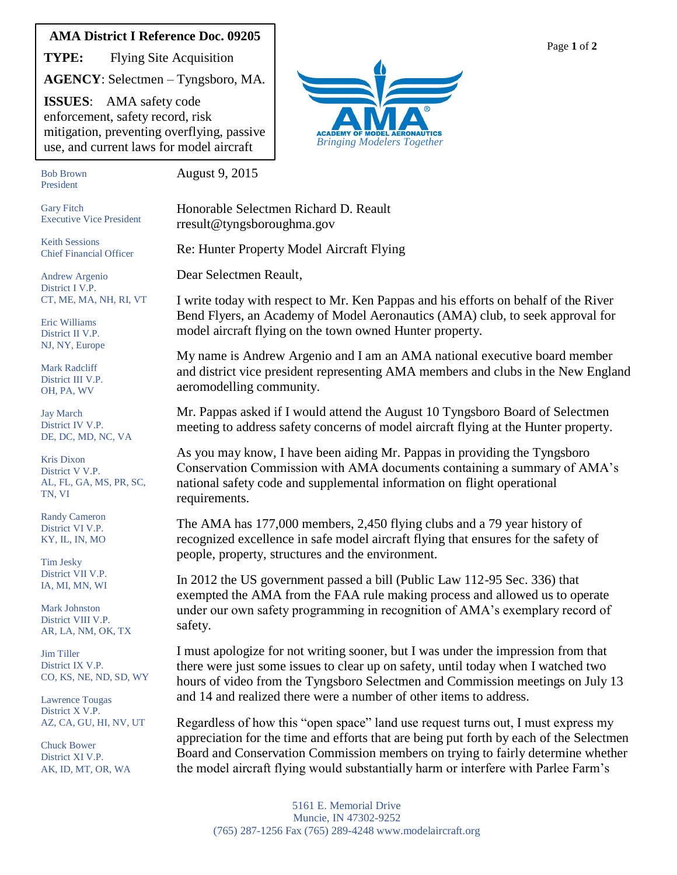## **AMA District I Reference Doc. 09205**

**TYPE:** Flying Site Acquisition

**AGENCY**: Selectmen – Tyngsboro, MA.

**ISSUES**: AMA safety code enforcement, safety record, risk mitigation, preventing overflying, passive use, and current laws for model aircraft

*Bringing Modelers Together*

Bob Brown President flying

Gary Fitch

Keith Sessions Chief Financial Officer

Andrew Argenio District I V.P.

Eric Williams District II V.P. NJ, NY, Europe Mark Radcliff District III V.P. OH, PA, WV

Jay March District IV V.P. DE, DC, MD, NC, VA

Kris Dixon District V V.P.

Randy Cameron District VI V.P. KY, IL, IN, MO

TN, VI

Tim Jesky District VII V.P. IA, MI, MN, WI

Jim Tiller District IX V.P.

Mark Johnston District VIII V.P. AR, LA, NM, OK, TX

CO, KS, NE, ND, SD, WY

AZ, CA, GU, HI, NV, UT

Lawrence Tougas District X V.P.

Chuck Bower District XI V.P. AK, ID, MT, OR, WA

AL, FL, GA, MS, PR, SC,

Executive Vice President

CT, ME, MA, NH, RI, VT

August 9, 2015

Honorable Selectmen Richard D. Reault rresult@tyngsboroughma.gov

Re: Hunter Property Model Aircraft Flying

Dear Selectmen Reault,

I write today with respect to Mr. Ken Pappas and his efforts on behalf of the River Bend Flyers, an Academy of Model Aeronautics (AMA) club, to seek approval for model aircraft flying on the town owned Hunter property.

My name is Andrew Argenio and I am an AMA national executive board member and district vice president representing AMA members and clubs in the New England aeromodelling community.

Mr. Pappas asked if I would attend the August 10 Tyngsboro Board of Selectmen meeting to address safety concerns of model aircraft flying at the Hunter property.

As you may know, I have been aiding Mr. Pappas in providing the Tyngsboro Conservation Commission with AMA documents containing a summary of AMA's national safety code and supplemental information on flight operational requirements.

The AMA has 177,000 members, 2,450 flying clubs and a 79 year history of recognized excellence in safe model aircraft flying that ensures for the safety of people, property, structures and the environment.

In 2012 the US government passed a bill (Public Law 112-95 Sec. 336) that exempted the AMA from the FAA rule making process and allowed us to operate under our own safety programming in recognition of AMA's exemplary record of safety.

I must apologize for not writing sooner, but I was under the impression from that there were just some issues to clear up on safety, until today when I watched two hours of video from the Tyngsboro Selectmen and Commission meetings on July 13 and 14 and realized there were a number of other items to address.

Regardless of how this "open space" land use request turns out, I must express my appreciation for the time and efforts that are being put forth by each of the Selectmen Board and Conservation Commission members on trying to fairly determine whether the model aircraft flying would substantially harm or interfere with Parlee Farm's